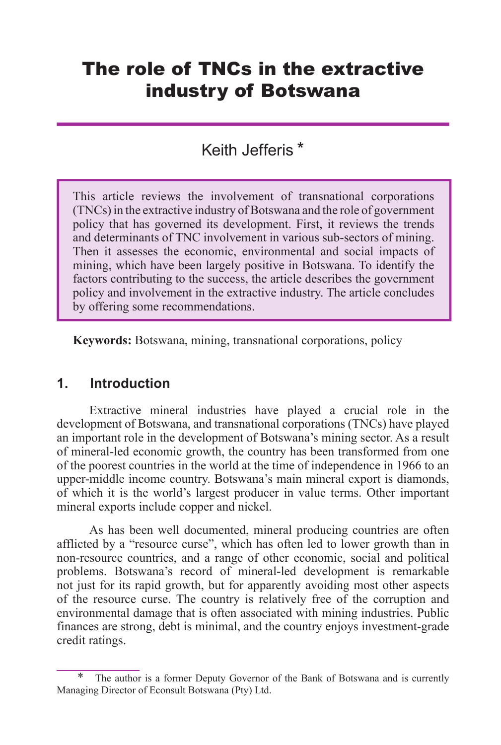# The role of TNCs in the extractive industry of Botswana

# Keith Jefferis<sup>\*</sup>

This article reviews the involvement of transnational corporations (TNCs) in the extractive industry of Botswana and the role of government policy that has governed its development. First, it reviews the trends and determinants of TNC involvement in various sub-sectors of mining. Then it assesses the economic, environmental and social impacts of mining, which have been largely positive in Botswana. To identify the factors contributing to the success, the article describes the government policy and involvement in the extractive industry. The article concludes by offering some recommendations.

**Keywords:** Botswana, mining, transnational corporations, policy

#### **1. Introduction**

Extractive mineral industries have played a crucial role in the development of Botswana, and transnational corporations (TNCs) have played an important role in the development of Botswana's mining sector. As a result of mineral-led economic growth, the country has been transformed from one of the poorest countries in the world at the time of independence in 1966 to an upper-middle income country. Botswana's main mineral export is diamonds, of which it is the world's largest producer in value terms. Other important mineral exports include copper and nickel.

As has been well documented, mineral producing countries are often afflicted by a "resource curse", which has often led to lower growth than in non-resource countries, and a range of other economic, social and political problems. Botswana's record of mineral-led development is remarkable not just for its rapid growth, but for apparently avoiding most other aspects of the resource curse. The country is relatively free of the corruption and environmental damage that is often associated with mining industries. Public finances are strong, debt is minimal, and the country enjoys investment-grade credit ratings.

The author is a former Deputy Governor of the Bank of Botswana and is currently Managing Director of Econsult Botswana (Pty) Ltd.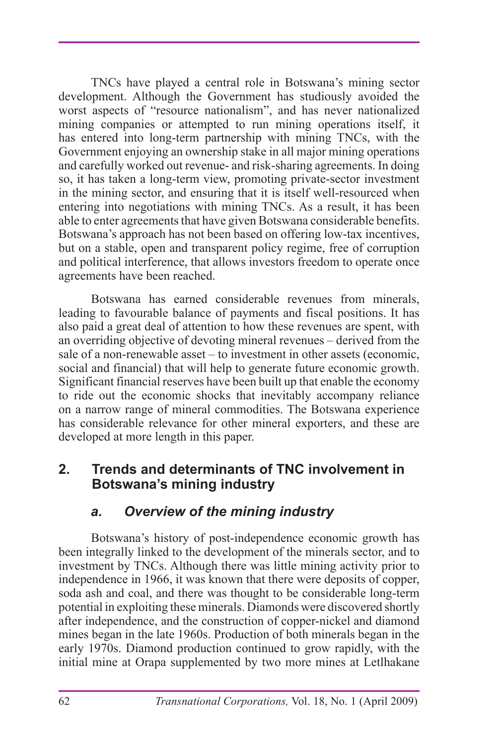TNCs have played a central role in Botswana's mining sector development. Although the Government has studiously avoided the worst aspects of "resource nationalism", and has never nationalized mining companies or attempted to run mining operations itself, it has entered into long-term partnership with mining TNCs, with the Government enjoying an ownership stake in all major mining operations and carefully worked out revenue- and risk-sharing agreements. In doing so, it has taken a long-term view, promoting private-sector investment in the mining sector, and ensuring that it is itself well-resourced when entering into negotiations with mining TNCs. As a result, it has been able to enter agreements that have given Botswana considerable benefits. Botswana's approach has not been based on offering low-tax incentives, but on a stable, open and transparent policy regime, free of corruption and political interference, that allows investors freedom to operate once agreements have been reached.

Botswana has earned considerable revenues from minerals, leading to favourable balance of payments and fiscal positions. It has also paid a great deal of attention to how these revenues are spent, with an overriding objective of devoting mineral revenues – derived from the sale of a non-renewable asset – to investment in other assets (economic, social and financial) that will help to generate future economic growth. Significant financial reserves have been built up that enable the economy to ride out the economic shocks that inevitably accompany reliance on a narrow range of mineral commodities. The Botswana experience has considerable relevance for other mineral exporters, and these are developed at more length in this paper.

#### **2. Trends and determinants of TNC involvement in Botswana's mining industry**

#### *a. Overview of the mining industry*

Botswana's history of post-independence economic growth has been integrally linked to the development of the minerals sector, and to investment by TNCs. Although there was little mining activity prior to independence in 1966, it was known that there were deposits of copper, soda ash and coal, and there was thought to be considerable long-term potential in exploiting these minerals. Diamonds were discovered shortly after independence, and the construction of copper-nickel and diamond mines began in the late 1960s. Production of both minerals began in the early 1970s. Diamond production continued to grow rapidly, with the initial mine at Orapa supplemented by two more mines at Letlhakane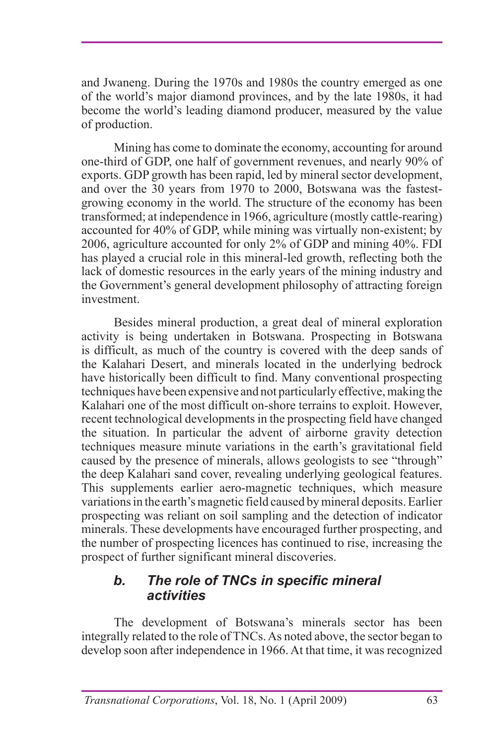and Jwaneng. During the 1970s and 1980s the country emerged as one of the world's major diamond provinces, and by the late 1980s, it had become the world's leading diamond producer, measured by the value of production.

Mining has come to dominate the economy, accounting for around one-third of GDP, one half of government revenues, and nearly 90% of exports. GDP growth has been rapid, led by mineral sector development, and over the 30 years from 1970 to 2000, Botswana was the fastestgrowing economy in the world. The structure of the economy has been transformed; at independence in 1966, agriculture (mostly cattle-rearing) accounted for 40% of GDP, while mining was virtually non-existent; by 2006, agriculture accounted for only 2% of GDP and mining 40%. FDI has played a crucial role in this mineral-led growth, reflecting both the lack of domestic resources in the early years of the mining industry and the Government's general development philosophy of attracting foreign investment.

Besides mineral production, a great deal of mineral exploration activity is being undertaken in Botswana. Prospecting in Botswana is difficult, as much of the country is covered with the deep sands of the Kalahari Desert, and minerals located in the underlying bedrock have historically been difficult to find. Many conventional prospecting techniques have been expensive and not particularly effective, making the Kalahari one of the most difficult on-shore terrains to exploit. However, recent technological developments in the prospecting field have changed the situation. In particular the advent of airborne gravity detection techniques measure minute variations in the earth's gravitational field caused by the presence of minerals, allows geologists to see "through" the deep Kalahari sand cover, revealing underlying geological features. This supplements earlier aero-magnetic techniques, which measure variations in the earth's magnetic field caused by mineral deposits. Earlier prospecting was reliant on soil sampling and the detection of indicator minerals. These developments have encouraged further prospecting, and the number of prospecting licences has continued to rise, increasing the prospect of further significant mineral discoveries.

#### *b. The role of TNCs in specific mineral activities*

The development of Botswana's minerals sector has been integrally related to the role of TNCs. As noted above, the sector began to develop soon after independence in 1966. At that time, it was recognized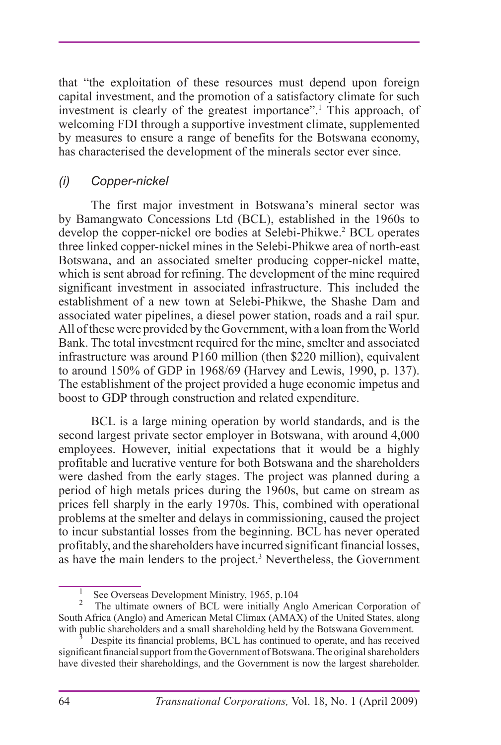that "the exploitation of these resources must depend upon foreign capital investment, and the promotion of a satisfactory climate for such investment is clearly of the greatest importance".1 This approach, of welcoming FDI through a supportive investment climate, supplemented by measures to ensure a range of benefits for the Botswana economy, has characterised the development of the minerals sector ever since.

#### *(i) Copper-nickel*

The first major investment in Botswana's mineral sector was by Bamangwato Concessions Ltd (BCL), established in the 1960s to develop the copper-nickel ore bodies at Selebi-Phikwe.<sup>2</sup> BCL operates three linked copper-nickel mines in the Selebi-Phikwe area of north-east Botswana, and an associated smelter producing copper-nickel matte, which is sent abroad for refining. The development of the mine required significant investment in associated infrastructure. This included the establishment of a new town at Selebi-Phikwe, the Shashe Dam and associated water pipelines, a diesel power station, roads and a rail spur. All of these were provided by the Government, with a loan from the World Bank. The total investment required for the mine, smelter and associated infrastructure was around P160 million (then \$220 million), equivalent to around 150% of GDP in 1968/69 (Harvey and Lewis, 1990, p. 137). The establishment of the project provided a huge economic impetus and boost to GDP through construction and related expenditure.

BCL is a large mining operation by world standards, and is the second largest private sector employer in Botswana, with around 4,000 employees. However, initial expectations that it would be a highly profitable and lucrative venture for both Botswana and the shareholders were dashed from the early stages. The project was planned during a period of high metals prices during the 1960s, but came on stream as prices fell sharply in the early 1970s. This, combined with operational problems at the smelter and delays in commissioning, caused the project to incur substantial losses from the beginning. BCL has never operated profitably, and the shareholders have incurred significant financial losses, as have the main lenders to the project.<sup>3</sup> Nevertheless, the Government

<sup>1</sup> See Overseas Development Ministry, 1965, p.104

<sup>2</sup> The ultimate owners of BCL were initially Anglo American Corporation of South Africa (Anglo) and American Metal Climax (AMAX) of the United States, along

Despite its financial problems, BCL has continued to operate, and has received significant financial support from the Government of Botswana. The original shareholders have divested their shareholdings, and the Government is now the largest shareholder.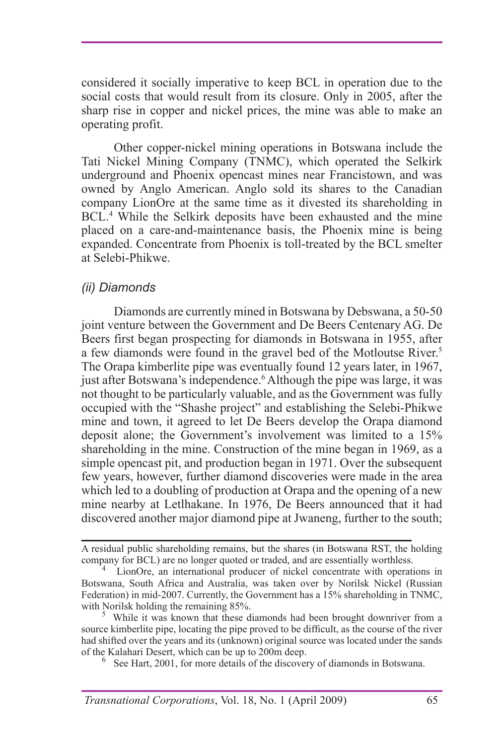considered it socially imperative to keep BCL in operation due to the social costs that would result from its closure. Only in 2005, after the sharp rise in copper and nickel prices, the mine was able to make an operating profit.

Other copper-nickel mining operations in Botswana include the Tati Nickel Mining Company (TNMC), which operated the Selkirk underground and Phoenix opencast mines near Francistown, and was owned by Anglo American. Anglo sold its shares to the Canadian company LionOre at the same time as it divested its shareholding in BCL.4 While the Selkirk deposits have been exhausted and the mine placed on a care-and-maintenance basis, the Phoenix mine is being expanded. Concentrate from Phoenix is toll-treated by the BCL smelter at Selebi-Phikwe.

#### *(ii) Diamonds*

Diamonds are currently mined in Botswana by Debswana, a 50-50 joint venture between the Government and De Beers Centenary AG. De Beers first began prospecting for diamonds in Botswana in 1955, after a few diamonds were found in the gravel bed of the Motloutse River.<sup>5</sup> The Orapa kimberlite pipe was eventually found 12 years later, in 1967, just after Botswana's independence.<sup>6</sup> Although the pipe was large, it was not thought to be particularly valuable, and as the Government was fully occupied with the "Shashe project" and establishing the Selebi-Phikwe mine and town, it agreed to let De Beers develop the Orapa diamond deposit alone; the Government's involvement was limited to a 15% shareholding in the mine. Construction of the mine began in 1969, as a simple opencast pit, and production began in 1971. Over the subsequent few years, however, further diamond discoveries were made in the area which led to a doubling of production at Orapa and the opening of a new mine nearby at Letlhakane. In 1976, De Beers announced that it had discovered another major diamond pipe at Jwaneng, further to the south;

A residual public shareholding remains, but the shares (in Botswana RST, the holding

LionOre, an international producer of nickel concentrate with operations in Botswana, South Africa and Australia, was taken over by Norilsk Nickel (Russian Federation) in mid-2007. Currently, the Government has a 15% shareholding in TNMC, with Norilsk holding the remaining 85%.

While it was known that these diamonds had been brought downriver from a source kimberlite pipe, locating the pipe proved to be difficult, as the course of the river had shifted over the years and its (unknown) original source was located under the sands of the Kalahari Desert, which can be up to 200m deep. <sup>6</sup>

 $6\text{$  See Hart, 2001, for more details of the discovery of diamonds in Botswana.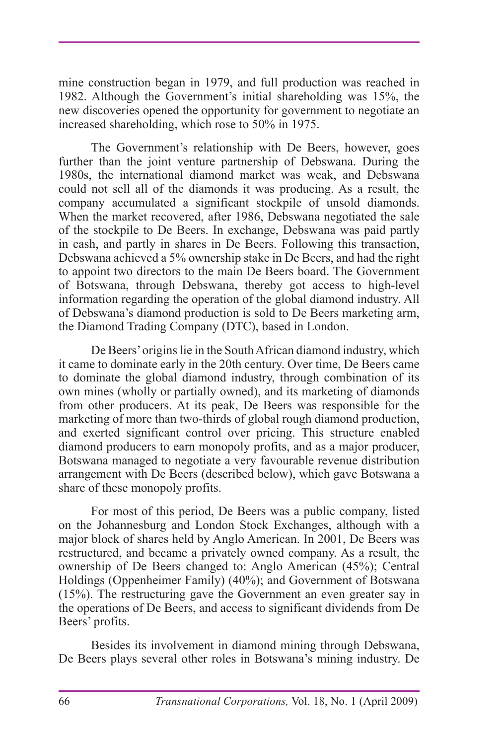mine construction began in 1979, and full production was reached in 1982. Although the Government's initial shareholding was 15%, the new discoveries opened the opportunity for government to negotiate an increased shareholding, which rose to 50% in 1975.

The Government's relationship with De Beers, however, goes further than the joint venture partnership of Debswana. During the 1980s, the international diamond market was weak, and Debswana could not sell all of the diamonds it was producing. As a result, the company accumulated a significant stockpile of unsold diamonds. When the market recovered, after 1986, Debswana negotiated the sale of the stockpile to De Beers. In exchange, Debswana was paid partly in cash, and partly in shares in De Beers. Following this transaction, Debswana achieved a 5% ownership stake in De Beers, and had the right to appoint two directors to the main De Beers board. The Government of Botswana, through Debswana, thereby got access to high-level information regarding the operation of the global diamond industry. All of Debswana's diamond production is sold to De Beers marketing arm, the Diamond Trading Company (DTC), based in London.

De Beers' origins lie in the South African diamond industry, which it came to dominate early in the 20th century. Over time, De Beers came to dominate the global diamond industry, through combination of its own mines (wholly or partially owned), and its marketing of diamonds from other producers. At its peak, De Beers was responsible for the marketing of more than two-thirds of global rough diamond production, and exerted significant control over pricing. This structure enabled diamond producers to earn monopoly profits, and as a major producer, Botswana managed to negotiate a very favourable revenue distribution arrangement with De Beers (described below), which gave Botswana a share of these monopoly profits.

For most of this period, De Beers was a public company, listed on the Johannesburg and London Stock Exchanges, although with a major block of shares held by Anglo American. In 2001, De Beers was restructured, and became a privately owned company. As a result, the ownership of De Beers changed to: Anglo American (45%); Central Holdings (Oppenheimer Family) (40%); and Government of Botswana (15%). The restructuring gave the Government an even greater say in the operations of De Beers, and access to significant dividends from De Beers' profits.

Besides its involvement in diamond mining through Debswana, De Beers plays several other roles in Botswana's mining industry. De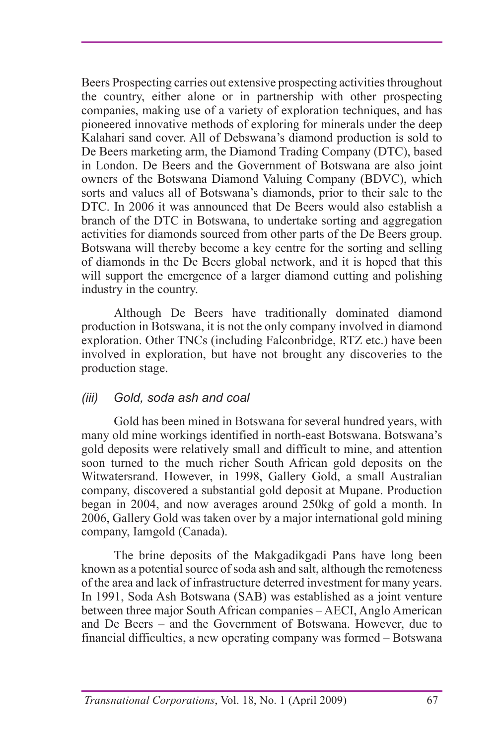Beers Prospecting carries out extensive prospecting activities throughout the country, either alone or in partnership with other prospecting companies, making use of a variety of exploration techniques, and has pioneered innovative methods of exploring for minerals under the deep Kalahari sand cover. All of Debswana's diamond production is sold to De Beers marketing arm, the Diamond Trading Company (DTC), based in London. De Beers and the Government of Botswana are also joint owners of the Botswana Diamond Valuing Company (BDVC), which sorts and values all of Botswana's diamonds, prior to their sale to the DTC. In 2006 it was announced that De Beers would also establish a branch of the DTC in Botswana, to undertake sorting and aggregation activities for diamonds sourced from other parts of the De Beers group. Botswana will thereby become a key centre for the sorting and selling of diamonds in the De Beers global network, and it is hoped that this will support the emergence of a larger diamond cutting and polishing industry in the country.

Although De Beers have traditionally dominated diamond production in Botswana, it is not the only company involved in diamond exploration. Other TNCs (including Falconbridge, RTZ etc.) have been involved in exploration, but have not brought any discoveries to the production stage.

#### *(iii) Gold, soda ash and coal*

Gold has been mined in Botswana for several hundred years, with many old mine workings identified in north-east Botswana. Botswana's gold deposits were relatively small and difficult to mine, and attention soon turned to the much richer South African gold deposits on the Witwatersrand. However, in 1998, Gallery Gold, a small Australian company, discovered a substantial gold deposit at Mupane. Production began in 2004, and now averages around 250kg of gold a month. In 2006, Gallery Gold was taken over by a major international gold mining company, Iamgold (Canada).

The brine deposits of the Makgadikgadi Pans have long been known as a potential source of soda ash and salt, although the remoteness of the area and lack of infrastructure deterred investment for many years. In 1991, Soda Ash Botswana (SAB) was established as a joint venture between three major South African companies – AECI, Anglo American and De Beers – and the Government of Botswana. However, due to financial difficulties, a new operating company was formed – Botswana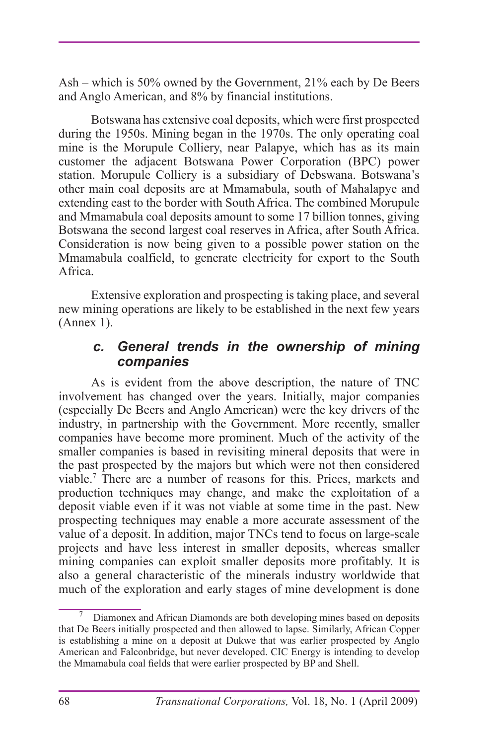Ash – which is 50% owned by the Government, 21% each by De Beers and Anglo American, and 8% by financial institutions.

Botswana has extensive coal deposits, which were first prospected during the 1950s. Mining began in the 1970s. The only operating coal mine is the Morupule Colliery, near Palapye, which has as its main customer the adjacent Botswana Power Corporation (BPC) power station. Morupule Colliery is a subsidiary of Debswana. Botswana's other main coal deposits are at Mmamabula, south of Mahalapye and extending east to the border with South Africa. The combined Morupule and Mmamabula coal deposits amount to some 17 billion tonnes, giving Botswana the second largest coal reserves in Africa, after South Africa. Consideration is now being given to a possible power station on the Mmamabula coalfield, to generate electricity for export to the South Africa.

Extensive exploration and prospecting is taking place, and several new mining operations are likely to be established in the next few years (Annex 1).

#### *c. General trends in the ownership of mining companies*

As is evident from the above description, the nature of TNC involvement has changed over the years. Initially, major companies (especially De Beers and Anglo American) were the key drivers of the industry, in partnership with the Government. More recently, smaller companies have become more prominent. Much of the activity of the smaller companies is based in revisiting mineral deposits that were in the past prospected by the majors but which were not then considered viable.7 There are a number of reasons for this. Prices, markets and production techniques may change, and make the exploitation of a deposit viable even if it was not viable at some time in the past. New prospecting techniques may enable a more accurate assessment of the value of a deposit. In addition, major TNCs tend to focus on large-scale projects and have less interest in smaller deposits, whereas smaller mining companies can exploit smaller deposits more profitably. It is also a general characteristic of the minerals industry worldwide that much of the exploration and early stages of mine development is done

<sup>7</sup> Diamonex and African Diamonds are both developing mines based on deposits that De Beers initially prospected and then allowed to lapse. Similarly, African Copper is establishing a mine on a deposit at Dukwe that was earlier prospected by Anglo American and Falconbridge, but never developed. CIC Energy is intending to develop the Mmamabula coal fields that were earlier prospected by BP and Shell.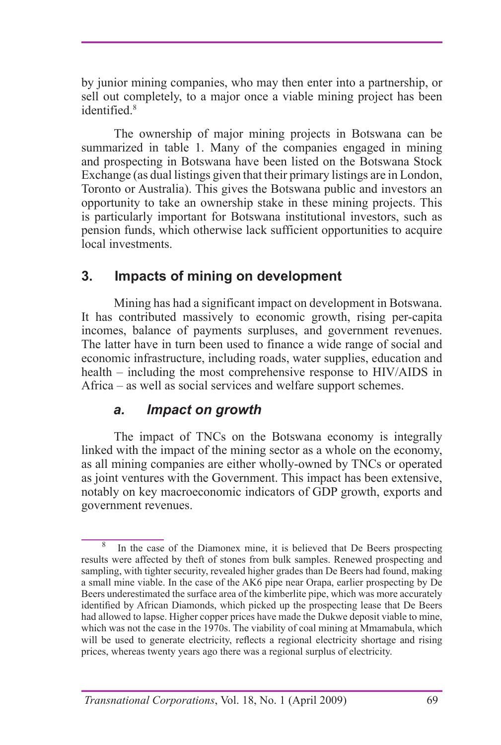by junior mining companies, who may then enter into a partnership, or sell out completely, to a major once a viable mining project has been identified<sup>8</sup>

The ownership of major mining projects in Botswana can be summarized in table 1. Many of the companies engaged in mining and prospecting in Botswana have been listed on the Botswana Stock Exchange (as dual listings given that their primary listings are in London, Toronto or Australia). This gives the Botswana public and investors an opportunity to take an ownership stake in these mining projects. This is particularly important for Botswana institutional investors, such as pension funds, which otherwise lack sufficient opportunities to acquire local investments.

## **3. Impacts of mining on development**

Mining has had a significant impact on development in Botswana. It has contributed massively to economic growth, rising per-capita incomes, balance of payments surpluses, and government revenues. The latter have in turn been used to finance a wide range of social and economic infrastructure, including roads, water supplies, education and health – including the most comprehensive response to HIV/AIDS in Africa – as well as social services and welfare support schemes.

#### *a. Impact on growth*

The impact of TNCs on the Botswana economy is integrally linked with the impact of the mining sector as a whole on the economy, as all mining companies are either wholly-owned by TNCs or operated as joint ventures with the Government. This impact has been extensive, notably on key macroeconomic indicators of GDP growth, exports and government revenues.

<sup>8</sup> In the case of the Diamonex mine, it is believed that De Beers prospecting results were affected by theft of stones from bulk samples. Renewed prospecting and sampling, with tighter security, revealed higher grades than De Beers had found, making a small mine viable. In the case of the AK6 pipe near Orapa, earlier prospecting by De Beers underestimated the surface area of the kimberlite pipe, which was more accurately identified by African Diamonds, which picked up the prospecting lease that De Beers had allowed to lapse. Higher copper prices have made the Dukwe deposit viable to mine, which was not the case in the  $1970s$ . The viability of coal mining at Mmamabula, which will be used to generate electricity, reflects a regional electricity shortage and rising prices, whereas twenty years ago there was a regional surplus of electricity.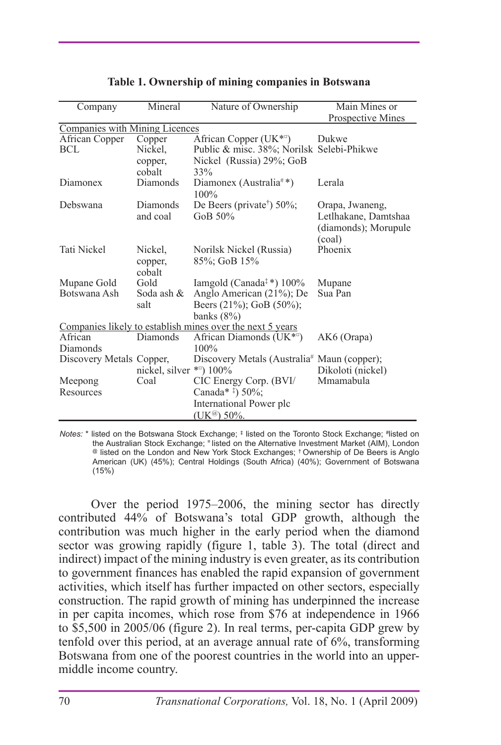| Company                               | Mineral                  | Nature of Ownership                                       | Main Mines or        |  |  |  |  |
|---------------------------------------|--------------------------|-----------------------------------------------------------|----------------------|--|--|--|--|
|                                       |                          |                                                           | Prospective Mines    |  |  |  |  |
| <b>Companies with Mining Licences</b> |                          |                                                           |                      |  |  |  |  |
| African Copper                        | Copper                   | African Copper (UK <sup>*a</sup> )                        | Dukwe                |  |  |  |  |
| BCL                                   | Nickel.                  | Public & misc. 38%; Norilsk Selebi-Phikwe                 |                      |  |  |  |  |
|                                       | copper,                  | Nickel (Russia) 29%; GoB                                  |                      |  |  |  |  |
|                                       | cobalt                   | 33%                                                       |                      |  |  |  |  |
| Diamonex                              | Diamonds                 | Diamonex (Australia <sup>#*</sup> )<br>100%               | Lerala               |  |  |  |  |
| Debswana                              | Diamonds                 | De Beers (private <sup>†</sup> ) $50\%$ ;                 | Orapa, Jwaneng,      |  |  |  |  |
|                                       | and coal                 | GoB 50%                                                   | Letlhakane, Damtshaa |  |  |  |  |
|                                       |                          |                                                           | (diamonds); Morupule |  |  |  |  |
|                                       |                          |                                                           | (coal)               |  |  |  |  |
| <b>Tati Nickel</b>                    | Nickel,                  | Norilsk Nickel (Russia)                                   | Phoenix              |  |  |  |  |
|                                       | copper,                  | 85%; GoB 15%                                              |                      |  |  |  |  |
|                                       | cobalt                   |                                                           |                      |  |  |  |  |
| Mupane Gold                           | Gold                     | Iamgold (Canada <sup><math>*</math></sup> ) 100%          | Mupane               |  |  |  |  |
| Botswana Ash                          | Soda ash &               | Anglo American (21%); De                                  | Sua Pan              |  |  |  |  |
|                                       | salt                     | Beers $(21\%)$ ; GoB $(50\%)$ ;                           |                      |  |  |  |  |
|                                       |                          | banks $(8\%)$                                             |                      |  |  |  |  |
|                                       |                          | Companies likely to establish mines over the next 5 years |                      |  |  |  |  |
| African                               | Diamonds                 | African Diamonds (UK $*$ <sup><math>\circ</math></sup> )  | AK6 (Orapa)          |  |  |  |  |
| Diamonds                              |                          | $100\%$                                                   |                      |  |  |  |  |
| Discovery Metals Copper,              |                          | Discovery Metals (Australia <sup>#</sup> Maun (copper);   |                      |  |  |  |  |
|                                       | nickel, silver ***) 100% |                                                           | Dikoloti (nickel)    |  |  |  |  |
| Meepong                               | Coal                     | CIC Energy Corp. (BVI/                                    | Mmamabula            |  |  |  |  |
| Resources                             |                          | Canada* #) 50%;                                           |                      |  |  |  |  |
|                                       |                          | International Power plc                                   |                      |  |  |  |  |
|                                       |                          | (UK <sup>@</sup> ) 50%.                                   |                      |  |  |  |  |

|  |  |  |  | Table 1. Ownership of mining companies in Botswana |
|--|--|--|--|----------------------------------------------------|
|--|--|--|--|----------------------------------------------------|

Notes: \* listed on the Botswana Stock Exchange; <sup>‡</sup> listed on the Toronto Stock Exchange; #listed on the Australian Stock Exchange; <sup>¤</sup> listed on the Alternative Investment Market (AIM), London @ listed on the London and New York Stock Exchanges; † Ownership of De Beers is Anglo American (UK) (45%); Central Holdings (South Africa) (40%); Government of Botswana (15%)

Over the period 1975–2006, the mining sector has directly contributed 44% of Botswana's total GDP growth, although the contribution was much higher in the early period when the diamond sector was growing rapidly (figure 1, table 3). The total (direct and indirect) impact of the mining industry is even greater, as its contribution to government finances has enabled the rapid expansion of government activities, which itself has further impacted on other sectors, especially construction. The rapid growth of mining has underpinned the increase in per capita incomes, which rose from \$76 at independence in 1966 to \$5,500 in 2005/06 (figure 2). In real terms, per-capita GDP grew by tenfold over this period, at an average annual rate of 6%, transforming Botswana from one of the poorest countries in the world into an uppermiddle income country.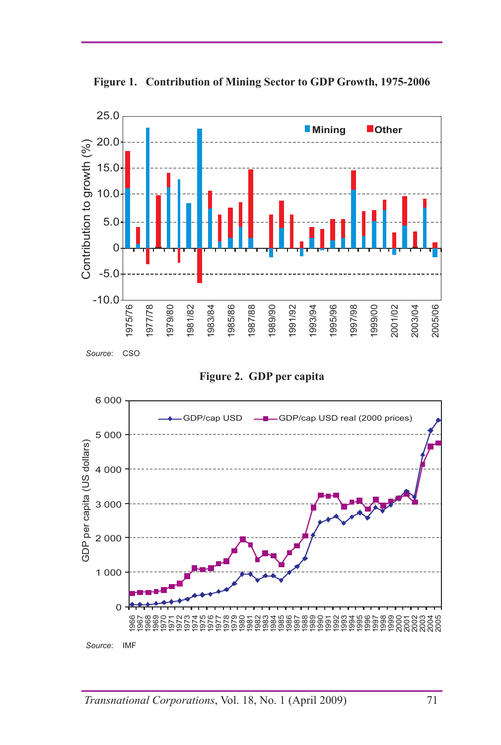



**Figure 2. GDP per capita**

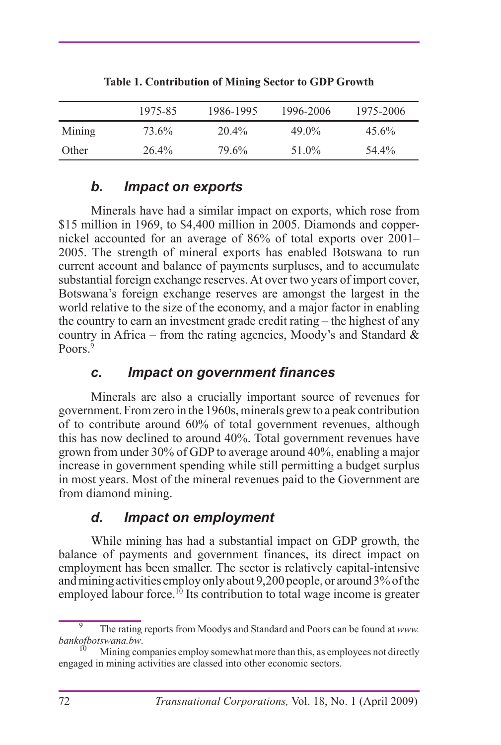|        | 1975-85  | 1986-1995 | 1996-2006 | 1975-2006 |
|--------|----------|-----------|-----------|-----------|
| Mining | 73.6%    | $20.4\%$  | $49.0\%$  | $45.6\%$  |
| Other  | $26.4\%$ | 79.6%     | 51.0%     | 54.4%     |

**Table 1. Contribution of Mining Sector to GDP Growth**

## *b. Impact on exports*

Minerals have had a similar impact on exports, which rose from \$15 million in 1969, to \$4,400 million in 2005. Diamonds and coppernickel accounted for an average of 86% of total exports over 2001– 2005. The strength of mineral exports has enabled Botswana to run current account and balance of payments surpluses, and to accumulate substantial foreign exchange reserves. At over two years of import cover, Botswana's foreign exchange reserves are amongst the largest in the world relative to the size of the economy, and a major factor in enabling the country to earn an investment grade credit rating – the highest of any country in Africa – from the rating agencies, Moody's and Standard  $\&$ Poors<sup>9</sup>

### *c. Impact on government finances*

Minerals are also a crucially important source of revenues for government. From zero in the 1960s, minerals grew to a peak contribution of to contribute around 60% of total government revenues, although this has now declined to around 40%. Total government revenues have grown from under 30% of GDP to average around 40%, enabling a major increase in government spending while still permitting a budget surplus in most years. Most of the mineral revenues paid to the Government are from diamond mining.

## *d. Impact on employment*

While mining has had a substantial impact on GDP growth, the balance of payments and government finances, its direct impact on employment has been smaller. The sector is relatively capital-intensive and mining activities employ only about 9,200 people, or around 3% of the employed labour force.<sup>10</sup> Its contribution to total wage income is greater

<sup>&</sup>lt;sup>9</sup> The rating reports from Moodys and Standard and Poors can be found at *www.* bankof botswana.bw.

*bankoffbotswand.bw*. 10 Mining companies employ somewhat more than this, as employees not directly engaged in mining activities are classed into other economic sectors.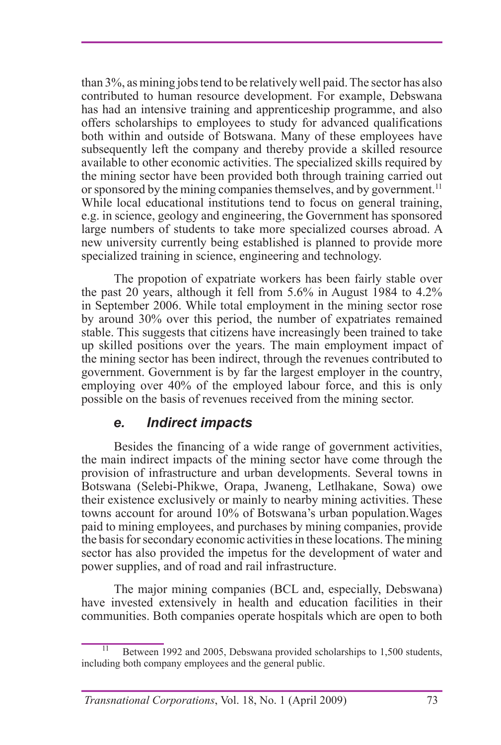than 3%, as mining jobs tend to be relatively well paid. The sector has also contributed to human resource development. For example, Debswana has had an intensive training and apprenticeship programme, and also offers scholarships to employees to study for advanced qualifications both within and outside of Botswana. Many of these employees have subsequently left the company and thereby provide a skilled resource available to other economic activities. The specialized skills required by the mining sector have been provided both through training carried out or sponsored by the mining companies themselves, and by government.<sup>11</sup> While local educational institutions tend to focus on general training, e.g. in science, geology and engineering, the Government has sponsored large numbers of students to take more specialized courses abroad. A new university currently being established is planned to provide more specialized training in science, engineering and technology.

The propotion of expatriate workers has been fairly stable over the past 20 years, although it fell from 5.6% in August 1984 to 4.2% in September 2006. While total employment in the mining sector rose by around 30% over this period, the number of expatriates remained stable. This suggests that citizens have increasingly been trained to take up skilled positions over the years. The main employment impact of the mining sector has been indirect, through the revenues contributed to government. Government is by far the largest employer in the country, employing over 40% of the employed labour force, and this is only possible on the basis of revenues received from the mining sector.

#### *e. Indirect impacts*

Besides the financing of a wide range of government activities, the main indirect impacts of the mining sector have come through the provision of infrastructure and urban developments. Several towns in Botswana (Selebi-Phikwe, Orapa, Jwaneng, Letlhakane, Sowa) owe their existence exclusively or mainly to nearby mining activities. These towns account for around 10% of Botswana's urban population.Wages paid to mining employees, and purchases by mining companies, provide the basis for secondary economic activities in these locations. The mining sector has also provided the impetus for the development of water and power supplies, and of road and rail infrastructure.

The major mining companies (BCL and, especially, Debswana) have invested extensively in health and education facilities in their communities. Both companies operate hospitals which are open to both

Between 1992 and 2005, Debswana provided scholarships to 1,500 students, including both company employees and the general public.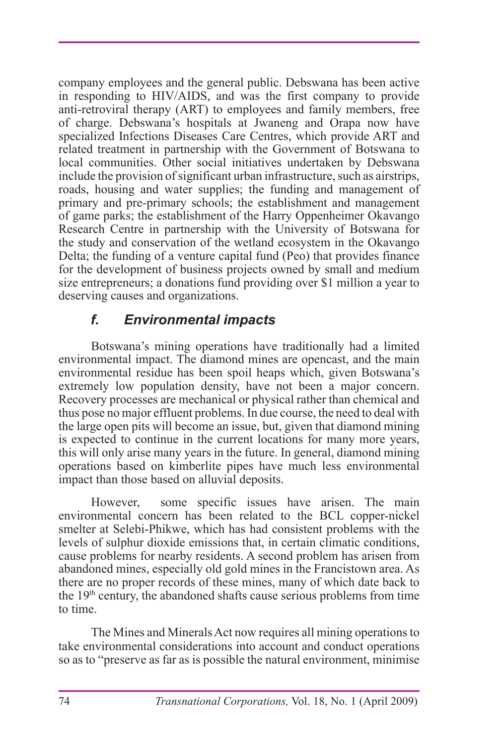company employees and the general public. Debswana has been active in responding to HIV/AIDS, and was the first company to provide anti-retroviral therapy (ART) to employees and family members, free of charge. Debswana's hospitals at Jwaneng and Orapa now have specialized Infections Diseases Care Centres, which provide ART and related treatment in partnership with the Government of Botswana to local communities. Other social initiatives undertaken by Debswana include the provision of significant urban infrastructure, such as airstrips, roads, housing and water supplies; the funding and management of primary and pre-primary schools; the establishment and management of game parks; the establishment of the Harry Oppenheimer Okavango Research Centre in partnership with the University of Botswana for the study and conservation of the wetland ecosystem in the Okavango Delta; the funding of a venture capital fund (Peo) that provides finance for the development of business projects owned by small and medium size entrepreneurs; a donations fund providing over \$1 million a year to deserving causes and organizations.

## *f. Environmental impacts*

Botswana's mining operations have traditionally had a limited environmental impact. The diamond mines are opencast, and the main environmental residue has been spoil heaps which, given Botswana's extremely low population density, have not been a major concern. Recovery processes are mechanical or physical rather than chemical and thus pose no major effluent problems. In due course, the need to deal with the large open pits will become an issue, but, given that diamond mining is expected to continue in the current locations for many more years, this will only arise many years in the future. In general, diamond mining operations based on kimberlite pipes have much less environmental impact than those based on alluvial deposits.

However, some specific issues have arisen. The main environmental concern has been related to the BCL copper-nickel smelter at Selebi-Phikwe, which has had consistent problems with the levels of sulphur dioxide emissions that, in certain climatic conditions, cause problems for nearby residents. A second problem has arisen from abandoned mines, especially old gold mines in the Francistown area. As there are no proper records of these mines, many of which date back to the 19th century, the abandoned shafts cause serious problems from time to time.

The Mines and Minerals Act now requires all mining operations to take environmental considerations into account and conduct operations so as to "preserve as far as is possible the natural environment, minimise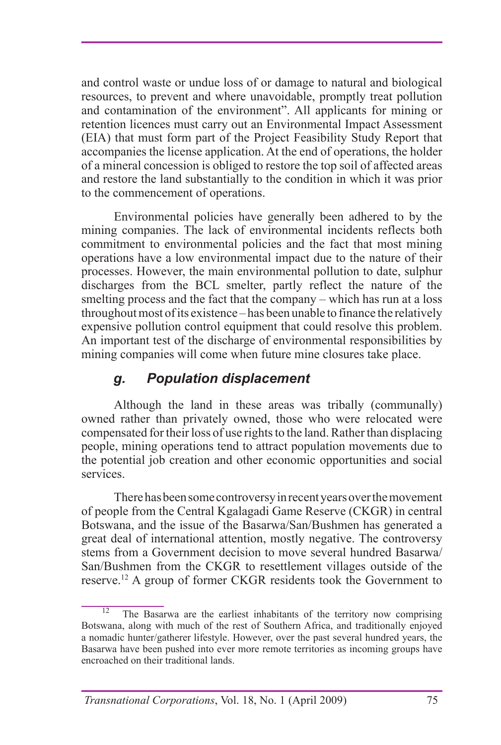and control waste or undue loss of or damage to natural and biological resources, to prevent and where unavoidable, promptly treat pollution and contamination of the environment". All applicants for mining or retention licences must carry out an Environmental Impact Assessment (EIA) that must form part of the Project Feasibility Study Report that accompanies the license application. At the end of operations, the holder of a mineral concession is obliged to restore the top soil of affected areas and restore the land substantially to the condition in which it was prior to the commencement of operations.

Environmental policies have generally been adhered to by the mining companies. The lack of environmental incidents reflects both commitment to environmental policies and the fact that most mining operations have a low environmental impact due to the nature of their processes. However, the main environmental pollution to date, sulphur discharges from the BCL smelter, partly reflect the nature of the smelting process and the fact that the company – which has run at a loss throughout most of its existence – has been unable to finance the relatively expensive pollution control equipment that could resolve this problem. An important test of the discharge of environmental responsibilities by mining companies will come when future mine closures take place.

### *g. Population displacement*

Although the land in these areas was tribally (communally) owned rather than privately owned, those who were relocated were compensated for their loss of use rights to the land. Rather than displacing people, mining operations tend to attract population movements due to the potential job creation and other economic opportunities and social services.

There has been some controversy in recent years over the movement of people from the Central Kgalagadi Game Reserve (CKGR) in central Botswana, and the issue of the Basarwa/San/Bushmen has generated a great deal of international attention, mostly negative. The controversy stems from a Government decision to move several hundred Basarwa/ San/Bushmen from the CKGR to resettlement villages outside of the reserve.12 A group of former CKGR residents took the Government to

The Basarwa are the earliest inhabitants of the territory now comprising Botswana, along with much of the rest of Southern Africa, and traditionally enjoyed a nomadic hunter/gatherer lifestyle. However, over the past several hundred years, the Basarwa have been pushed into ever more remote territories as incoming groups have encroached on their traditional lands.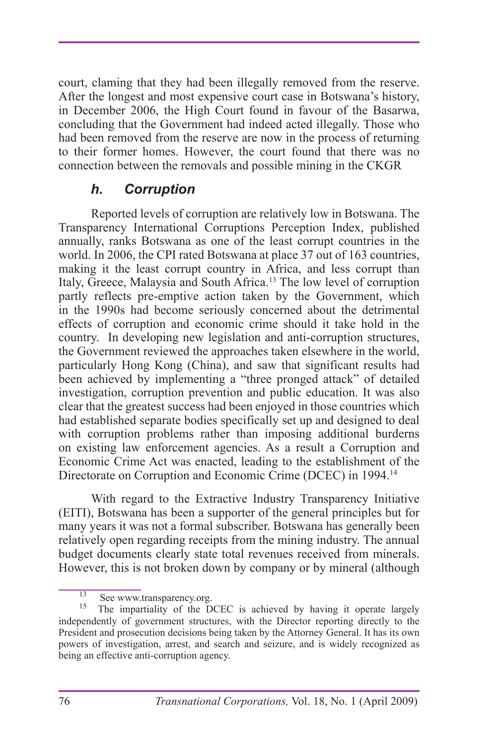court, claming that they had been illegally removed from the reserve. After the longest and most expensive court case in Botswana's history, in December 2006, the High Court found in favour of the Basarwa, concluding that the Government had indeed acted illegally. Those who had been removed from the reserve are now in the process of returning to their former homes. However, the court found that there was no connection between the removals and possible mining in the CKGR

#### *h. Corruption*

Reported levels of corruption are relatively low in Botswana. The Transparency International Corruptions Perception Index, published annually, ranks Botswana as one of the least corrupt countries in the world. In 2006, the CPI rated Botswana at place 37 out of 163 countries, making it the least corrupt country in Africa, and less corrupt than Italy, Greece, Malaysia and South Africa.13 The low level of corruption partly reflects pre-emptive action taken by the Government, which in the 1990s had become seriously concerned about the detrimental effects of corruption and economic crime should it take hold in the country. In developing new legislation and anti-corruption structures, the Government reviewed the approaches taken elsewhere in the world, particularly Hong Kong (China), and saw that significant results had been achieved by implementing a "three pronged attack" of detailed investigation, corruption prevention and public education. It was also clear that the greatest success had been enjoyed in those countries which had established separate bodies specifically set up and designed to deal with corruption problems rather than imposing additional burderns on existing law enforcement agencies. As a result a Corruption and Economic Crime Act was enacted, leading to the establishment of the Directorate on Corruption and Economic Crime (DCEC) in 1994.14

With regard to the Extractive Industry Transparency Initiative (EITI), Botswana has been a supporter of the general principles but for many years it was not a formal subscriber. Botswana has generally been relatively open regarding receipts from the mining industry. The annual budget documents clearly state total revenues received from minerals. However, this is not broken down by company or by mineral (although

<sup>&</sup>lt;sup>13</sup> See www.transparency.org.<br><sup>15</sup> The impartiality of the DCEC is achieved by having it operate largely independently of government structures, with the Director reporting directly to the President and prosecution decisions being taken by the Attorney General. It has its own powers of investigation, arrest, and search and seizure, and is widely recognized as being an effective anti-corruption agency.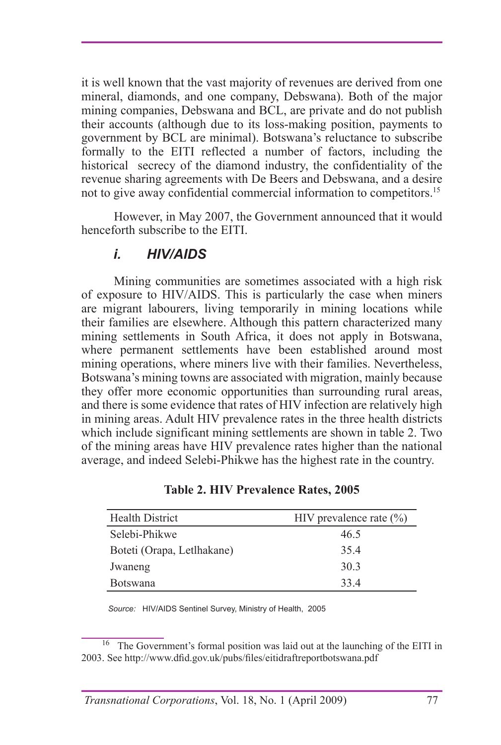it is well known that the vast majority of revenues are derived from one mineral, diamonds, and one company, Debswana). Both of the major mining companies, Debswana and BCL, are private and do not publish their accounts (although due to its loss-making position, payments to government by BCL are minimal). Botswana's reluctance to subscribe formally to the EITI reflected a number of factors, including the historical secrecy of the diamond industry, the confidentiality of the revenue sharing agreements with De Beers and Debswana, and a desire not to give away confidential commercial information to competitors.15

However, in May 2007, the Government announced that it would henceforth subscribe to the EITI.

#### *i. HIV/AIDS*

Mining communities are sometimes associated with a high risk of exposure to HIV/AIDS. This is particularly the case when miners are migrant labourers, living temporarily in mining locations while their families are elsewhere. Although this pattern characterized many mining settlements in South Africa, it does not apply in Botswana, where permanent settlements have been established around most mining operations, where miners live with their families. Nevertheless, Botswana's mining towns are associated with migration, mainly because they offer more economic opportunities than surrounding rural areas, and there is some evidence that rates of HIV infection are relatively high in mining areas. Adult HIV prevalence rates in the three health districts which include significant mining settlements are shown in table 2. Two of the mining areas have HIV prevalence rates higher than the national average, and indeed Selebi-Phikwe has the highest rate in the country.

| <b>Health District</b>     | HIV prevalence rate $(\% )$ |  |
|----------------------------|-----------------------------|--|
| Selebi-Phikwe              | 46.5                        |  |
| Boteti (Orapa, Letlhakane) | 354                         |  |
| Jwaneng                    | 30.3                        |  |
| <b>Botswana</b>            | 334                         |  |

**Table 2. HIV Prevalence Rates, 2005**

*Source:* HIV/AIDS Sentinel Survey, Ministry of Health, 2005

<sup>&</sup>lt;sup>16</sup> The Government's formal position was laid out at the launching of the EITI in 2003. See http://www.dfid.gov.uk/pubs/files/eitidraftreportbotswana.pdf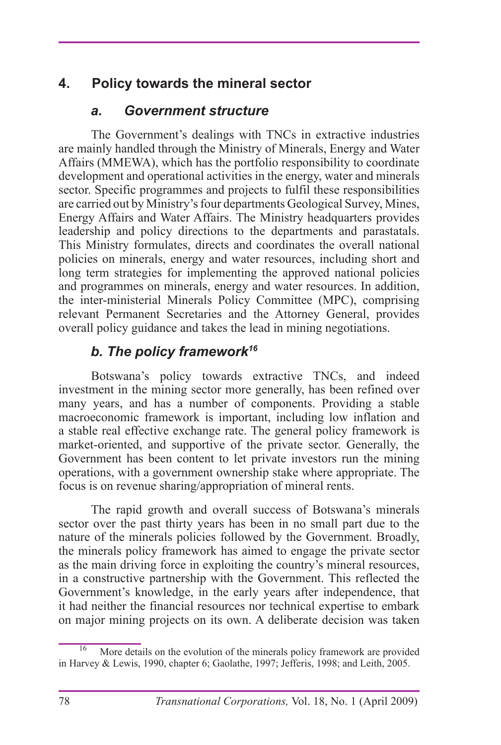## **4. Policy towards the mineral sector**

## *a. Government structure*

The Government's dealings with TNCs in extractive industries are mainly handled through the Ministry of Minerals, Energy and Water Affairs (MMEWA), which has the portfolio responsibility to coordinate development and operational activities in the energy, water and minerals sector. Specific programmes and projects to fulfil these responsibilities are carried out by Ministry's four departments Geological Survey, Mines, Energy Affairs and Water Affairs. The Ministry headquarters provides leadership and policy directions to the departments and parastatals. This Ministry formulates, directs and coordinates the overall national policies on minerals, energy and water resources, including short and long term strategies for implementing the approved national policies and programmes on minerals, energy and water resources. In addition, the inter-ministerial Minerals Policy Committee (MPC), comprising relevant Permanent Secretaries and the Attorney General, provides overall policy guidance and takes the lead in mining negotiations.

## *b. The policy framework16*

Botswana's policy towards extractive TNCs, and indeed investment in the mining sector more generally, has been refined over many years, and has a number of components. Providing a stable macroeconomic framework is important, including low inflation and a stable real effective exchange rate. The general policy framework is market-oriented, and supportive of the private sector. Generally, the Government has been content to let private investors run the mining operations, with a government ownership stake where appropriate. The focus is on revenue sharing/appropriation of mineral rents.

The rapid growth and overall success of Botswana's minerals sector over the past thirty years has been in no small part due to the nature of the minerals policies followed by the Government. Broadly, the minerals policy framework has aimed to engage the private sector as the main driving force in exploiting the country's mineral resources, in a constructive partnership with the Government. This reflected the Government's knowledge, in the early years after independence, that it had neither the financial resources nor technical expertise to embark on major mining projects on its own. A deliberate decision was taken

More details on the evolution of the minerals policy framework are provided in Harvey & Lewis, 1990, chapter 6; Gaolathe, 1997; Jefferis, 1998; and Leith, 2005.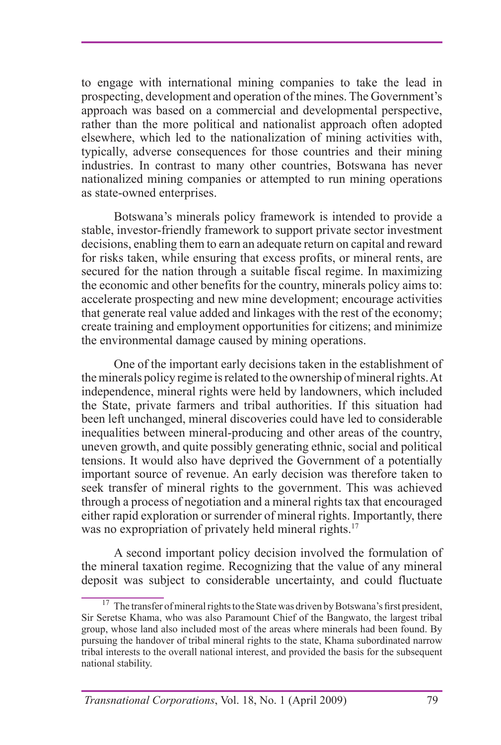to engage with international mining companies to take the lead in prospecting, development and operation of the mines. The Government's approach was based on a commercial and developmental perspective, rather than the more political and nationalist approach often adopted elsewhere, which led to the nationalization of mining activities with, typically, adverse consequences for those countries and their mining industries. In contrast to many other countries, Botswana has never nationalized mining companies or attempted to run mining operations as state-owned enterprises.

Botswana's minerals policy framework is intended to provide a stable, investor-friendly framework to support private sector investment decisions, enabling them to earn an adequate return on capital and reward for risks taken, while ensuring that excess profits, or mineral rents, are secured for the nation through a suitable fiscal regime. In maximizing the economic and other benefits for the country, minerals policy aims to: accelerate prospecting and new mine development; encourage activities that generate real value added and linkages with the rest of the economy; create training and employment opportunities for citizens; and minimize the environmental damage caused by mining operations.

One of the important early decisions taken in the establishment of the minerals policy regime is related to the ownership of mineral rights. At independence, mineral rights were held by landowners, which included the State, private farmers and tribal authorities. If this situation had been left unchanged, mineral discoveries could have led to considerable inequalities between mineral-producing and other areas of the country, uneven growth, and quite possibly generating ethnic, social and political tensions. It would also have deprived the Government of a potentially important source of revenue. An early decision was therefore taken to seek transfer of mineral rights to the government. This was achieved through a process of negotiation and a mineral rights tax that encouraged either rapid exploration or surrender of mineral rights. Importantly, there was no expropriation of privately held mineral rights.<sup>17</sup>

A second important policy decision involved the formulation of the mineral taxation regime. Recognizing that the value of any mineral deposit was subject to considerable uncertainty, and could fluctuate

 $17$  The transfer of mineral rights to the State was driven by Botswana's first president, Sir Seretse Khama, who was also Paramount Chief of the Bangwato, the largest tribal group, whose land also included most of the areas where minerals had been found. By pursuing the handover of tribal mineral rights to the state, Khama subordinated narrow tribal interests to the overall national interest, and provided the basis for the subsequent national stability.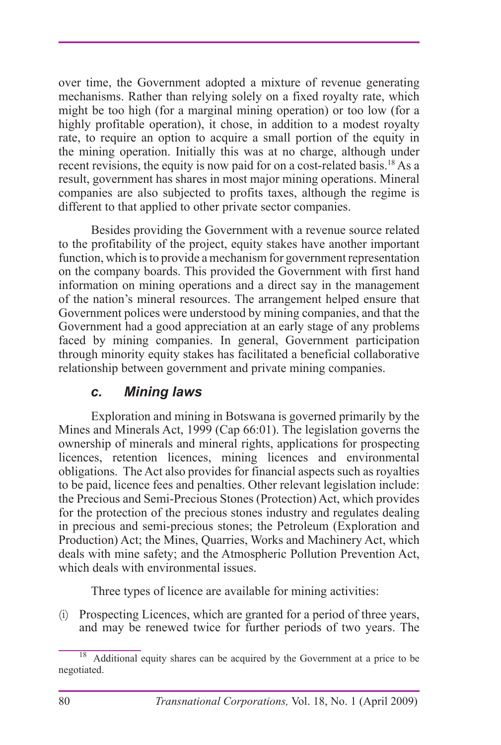over time, the Government adopted a mixture of revenue generating mechanisms. Rather than relying solely on a fixed royalty rate, which might be too high (for a marginal mining operation) or too low (for a highly profitable operation), it chose, in addition to a modest royalty rate, to require an option to acquire a small portion of the equity in the mining operation. Initially this was at no charge, although under recent revisions, the equity is now paid for on a cost-related basis.18 As a result, government has shares in most major mining operations. Mineral companies are also subjected to profits taxes, although the regime is different to that applied to other private sector companies.

Besides providing the Government with a revenue source related to the profitability of the project, equity stakes have another important function, which is to provide a mechanism for government representation on the company boards. This provided the Government with first hand information on mining operations and a direct say in the management of the nation's mineral resources. The arrangement helped ensure that Government polices were understood by mining companies, and that the Government had a good appreciation at an early stage of any problems faced by mining companies. In general, Government participation through minority equity stakes has facilitated a beneficial collaborative relationship between government and private mining companies.

#### *c. Mining laws*

Exploration and mining in Botswana is governed primarily by the Mines and Minerals Act, 1999 (Cap 66:01). The legislation governs the ownership of minerals and mineral rights, applications for prospecting licences, retention licences, mining licences and environmental obligations. The Act also provides for financial aspects such as royalties to be paid, licence fees and penalties. Other relevant legislation include: the Precious and Semi-Precious Stones (Protection) Act, which provides for the protection of the precious stones industry and regulates dealing in precious and semi-precious stones; the Petroleum (Exploration and Production) Act; the Mines, Quarries, Works and Machinery Act, which deals with mine safety; and the Atmospheric Pollution Prevention Act, which deals with environmental issues.

Three types of licence are available for mining activities:

(i) Prospecting Licences, which are granted for a period of three years, and may be renewed twice for further periods of two years. The

<sup>&</sup>lt;sup>18</sup> Additional equity shares can be acquired by the Government at a price to be negotiated.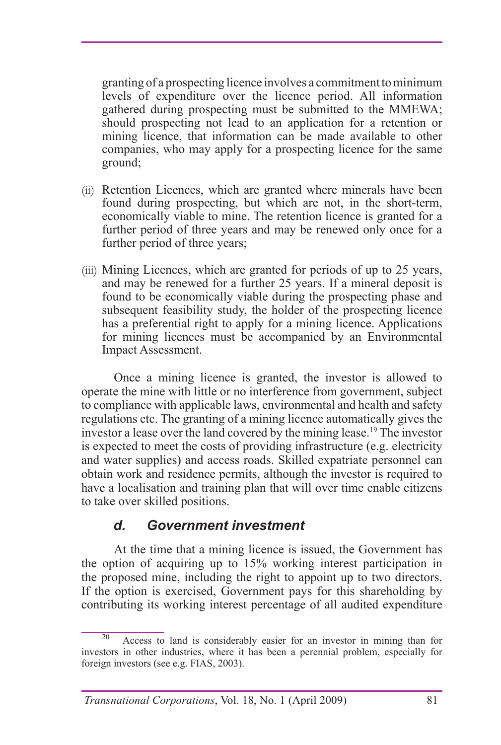granting of a prospecting licence involves a commitment to minimum levels of expenditure over the licence period. All information gathered during prospecting must be submitted to the MMEWA; should prospecting not lead to an application for a retention or mining licence, that information can be made available to other companies, who may apply for a prospecting licence for the same ground;

- (ii) Retention Licences, which are granted where minerals have been found during prospecting, but which are not, in the short-term, economically viable to mine. The retention licence is granted for a further period of three years and may be renewed only once for a further period of three years;
- (iii) Mining Licences, which are granted for periods of up to 25 years, and may be renewed for a further 25 years. If a mineral deposit is found to be economically viable during the prospecting phase and subsequent feasibility study, the holder of the prospecting licence has a preferential right to apply for a mining licence. Applications for mining licences must be accompanied by an Environmental Impact Assessment.

Once a mining licence is granted, the investor is allowed to operate the mine with little or no interference from government, subject to compliance with applicable laws, environmental and health and safety regulations etc. The granting of a mining licence automatically gives the investor a lease over the land covered by the mining lease.19 The investor is expected to meet the costs of providing infrastructure (e.g. electricity and water supplies) and access roads. Skilled expatriate personnel can obtain work and residence permits, although the investor is required to have a localisation and training plan that will over time enable citizens to take over skilled positions.

#### *d. Government investment*

At the time that a mining licence is issued, the Government has the option of acquiring up to 15% working interest participation in the proposed mine, including the right to appoint up to two directors. If the option is exercised, Government pays for this shareholding by contributing its working interest percentage of all audited expenditure

Access to land is considerably easier for an investor in mining than for investors in other industries, where it has been a perennial problem, especially for foreign investors (see e.g. FIAS, 2003).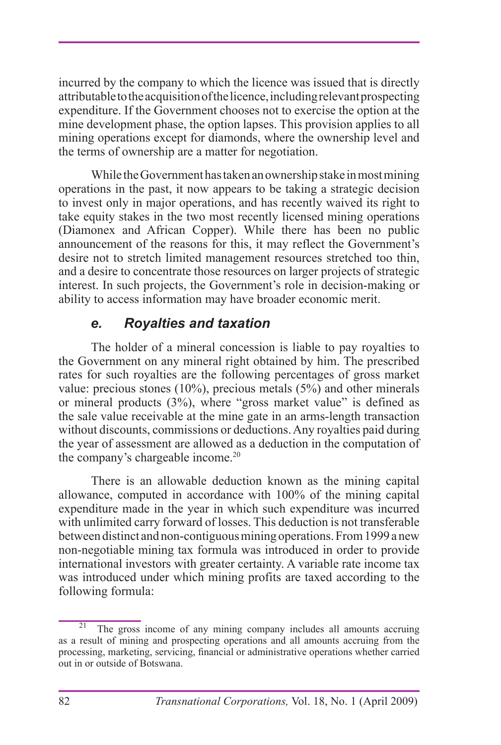incurred by the company to which the licence was issued that is directly attributable to the acquisition of the licence, including relevant prospecting expenditure. If the Government chooses not to exercise the option at the mine development phase, the option lapses. This provision applies to all mining operations except for diamonds, where the ownership level and the terms of ownership are a matter for negotiation.

While the Government has taken an ownership stake in most mining operations in the past, it now appears to be taking a strategic decision to invest only in major operations, and has recently waived its right to take equity stakes in the two most recently licensed mining operations (Diamonex and African Copper). While there has been no public announcement of the reasons for this, it may reflect the Government's desire not to stretch limited management resources stretched too thin, and a desire to concentrate those resources on larger projects of strategic interest. In such projects, the Government's role in decision-making or ability to access information may have broader economic merit.

## *e. Royalties and taxation*

The holder of a mineral concession is liable to pay royalties to the Government on any mineral right obtained by him. The prescribed rates for such royalties are the following percentages of gross market value: precious stones (10%), precious metals  $(5\%)$  and other minerals or mineral products (3%), where "gross market value" is defined as the sale value receivable at the mine gate in an arms-length transaction without discounts, commissions or deductions. Any royalties paid during the year of assessment are allowed as a deduction in the computation of the company's chargeable income.<sup>20</sup>

There is an allowable deduction known as the mining capital allowance, computed in accordance with 100% of the mining capital expenditure made in the year in which such expenditure was incurred with unlimited carry forward of losses. This deduction is not transferable between distinct and non-contiguous mining operations. From 1999 a new non-negotiable mining tax formula was introduced in order to provide international investors with greater certainty. A variable rate income tax was introduced under which mining profits are taxed according to the following formula:

The gross income of any mining company includes all amounts accruing as a result of mining and prospecting operations and all amounts accruing from the processing, marketing, servicing, financial or administrative operations whether carried out in or outside of Botswana.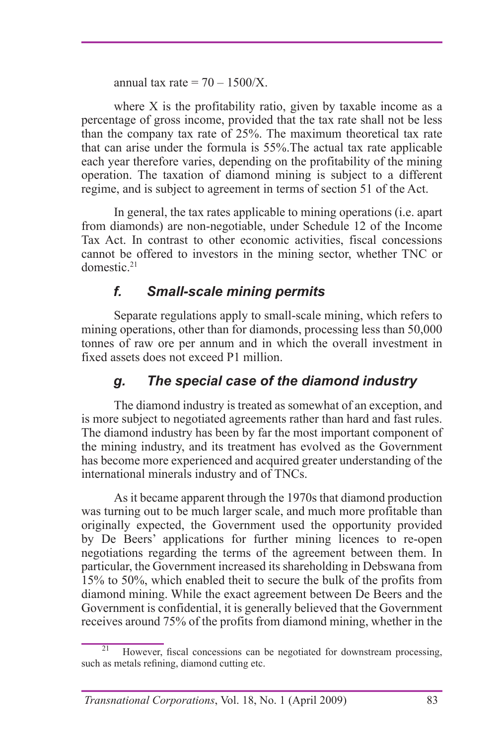annual tax rate  $= 70 - 1500/X$ .

where X is the profitability ratio, given by taxable income as a percentage of gross income, provided that the tax rate shall not be less than the company tax rate of 25%. The maximum theoretical tax rate that can arise under the formula is 55%.The actual tax rate applicable each year therefore varies, depending on the profitability of the mining operation. The taxation of diamond mining is subject to a different regime, and is subject to agreement in terms of section 51 of the Act.

In general, the tax rates applicable to mining operations (i.e. apart from diamonds) are non-negotiable, under Schedule 12 of the Income Tax Act. In contrast to other economic activities, fiscal concessions cannot be offered to investors in the mining sector, whether TNC or domestic.21

## *f. Small-scale mining permits*

Separate regulations apply to small-scale mining, which refers to mining operations, other than for diamonds, processing less than 50,000 tonnes of raw ore per annum and in which the overall investment in fixed assets does not exceed P1 million.

## *g. The special case of the diamond industry*

The diamond industry is treated as somewhat of an exception, and is more subject to negotiated agreements rather than hard and fast rules. The diamond industry has been by far the most important component of the mining industry, and its treatment has evolved as the Government has become more experienced and acquired greater understanding of the international minerals industry and of TNCs.

As it became apparent through the 1970s that diamond production was turning out to be much larger scale, and much more profitable than originally expected, the Government used the opportunity provided by De Beers' applications for further mining licences to re-open negotiations regarding the terms of the agreement between them. In particular, the Government increased its shareholding in Debswana from 15% to 50%, which enabled theit to secure the bulk of the profits from diamond mining. While the exact agreement between De Beers and the Government is confidential, it is generally believed that the Government receives around 75% of the profits from diamond mining, whether in the

However, fiscal concessions can be negotiated for downstream processing, such as metals refining, diamond cutting etc.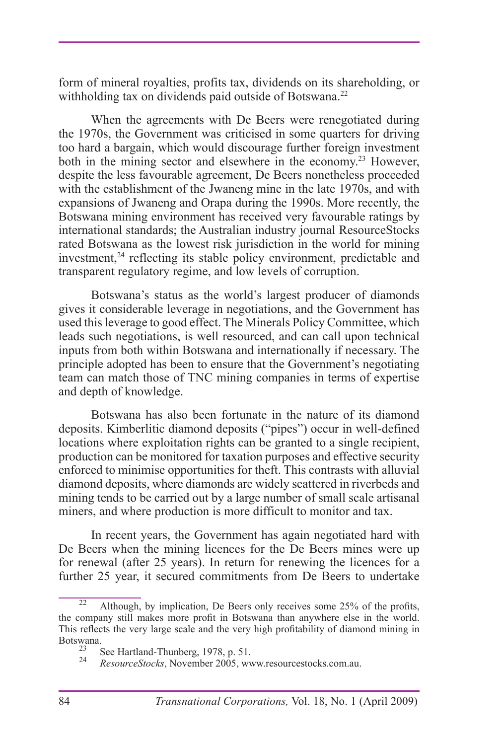form of mineral royalties, profits tax, dividends on its shareholding, or withholding tax on dividends paid outside of Botswana.<sup>22</sup>

When the agreements with De Beers were renegotiated during the 1970s, the Government was criticised in some quarters for driving too hard a bargain, which would discourage further foreign investment both in the mining sector and elsewhere in the economy.<sup>23</sup> However, despite the less favourable agreement, De Beers nonetheless proceeded with the establishment of the Jwaneng mine in the late 1970s, and with expansions of Jwaneng and Orapa during the 1990s. More recently, the Botswana mining environment has received very favourable ratings by international standards; the Australian industry journal ResourceStocks rated Botswana as the lowest risk jurisdiction in the world for mining investment, $24$  reflecting its stable policy environment, predictable and transparent regulatory regime, and low levels of corruption.

Botswana's status as the world's largest producer of diamonds gives it considerable leverage in negotiations, and the Government has used this leverage to good effect. The Minerals Policy Committee, which leads such negotiations, is well resourced, and can call upon technical inputs from both within Botswana and internationally if necessary. The principle adopted has been to ensure that the Government's negotiating team can match those of TNC mining companies in terms of expertise and depth of knowledge.

Botswana has also been fortunate in the nature of its diamond deposits. Kimberlitic diamond deposits ("pipes") occur in well-defined locations where exploitation rights can be granted to a single recipient, production can be monitored for taxation purposes and effective security enforced to minimise opportunities for theft. This contrasts with alluvial diamond deposits, where diamonds are widely scattered in riverbeds and mining tends to be carried out by a large number of small scale artisanal miners, and where production is more difficult to monitor and tax.

In recent years, the Government has again negotiated hard with De Beers when the mining licences for the De Beers mines were up for renewal (after 25 years). In return for renewing the licences for a further 25 year, it secured commitments from De Beers to undertake

Although, by implication, De Beers only receives some 25% of the profits, the company still makes more profit in Botswana than anywhere else in the world. This reflects the very large scale and the very high profitability of diamond mining in Botswana.<br><sup>23</sup> See Hartland-Thunberg, 1978, p. 51.

<sup>23</sup> See Hartland-Thunberg, 1978, p. 51. <sup>24</sup> *ResourceStocks*, November 2005, www.resourcestocks.com.au.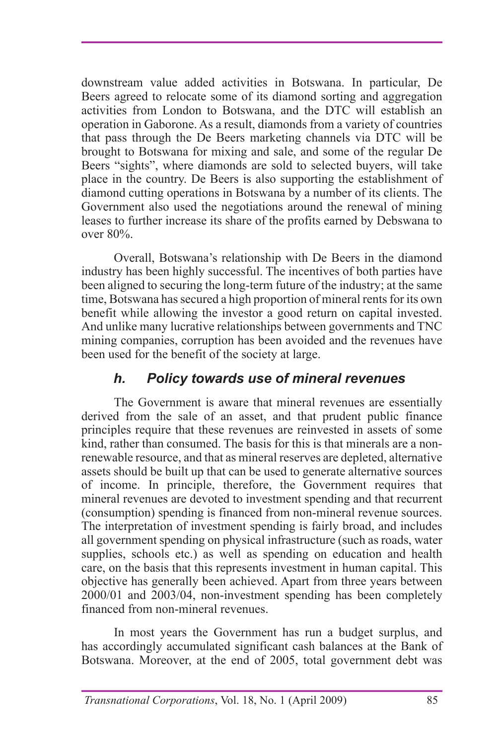downstream value added activities in Botswana. In particular, De Beers agreed to relocate some of its diamond sorting and aggregation activities from London to Botswana, and the DTC will establish an operation in Gaborone. As a result, diamonds from a variety of countries that pass through the De Beers marketing channels via DTC will be brought to Botswana for mixing and sale, and some of the regular De Beers "sights", where diamonds are sold to selected buyers, will take place in the country. De Beers is also supporting the establishment of diamond cutting operations in Botswana by a number of its clients. The Government also used the negotiations around the renewal of mining leases to further increase its share of the profits earned by Debswana to over 80%.

Overall, Botswana's relationship with De Beers in the diamond industry has been highly successful. The incentives of both parties have been aligned to securing the long-term future of the industry; at the same time, Botswana has secured a high proportion of mineral rents for its own benefit while allowing the investor a good return on capital invested. And unlike many lucrative relationships between governments and TNC mining companies, corruption has been avoided and the revenues have been used for the benefit of the society at large.

## *h. Policy towards use of mineral revenues*

The Government is aware that mineral revenues are essentially derived from the sale of an asset, and that prudent public finance principles require that these revenues are reinvested in assets of some kind, rather than consumed. The basis for this is that minerals are a nonrenewable resource, and that as mineral reserves are depleted, alternative assets should be built up that can be used to generate alternative sources of income. In principle, therefore, the Government requires that mineral revenues are devoted to investment spending and that recurrent (consumption) spending is financed from non-mineral revenue sources. The interpretation of investment spending is fairly broad, and includes all government spending on physical infrastructure (such as roads, water supplies, schools etc.) as well as spending on education and health care, on the basis that this represents investment in human capital. This objective has generally been achieved. Apart from three years between 2000/01 and 2003/04, non-investment spending has been completely financed from non-mineral revenues.

In most years the Government has run a budget surplus, and has accordingly accumulated significant cash balances at the Bank of Botswana. Moreover, at the end of 2005, total government debt was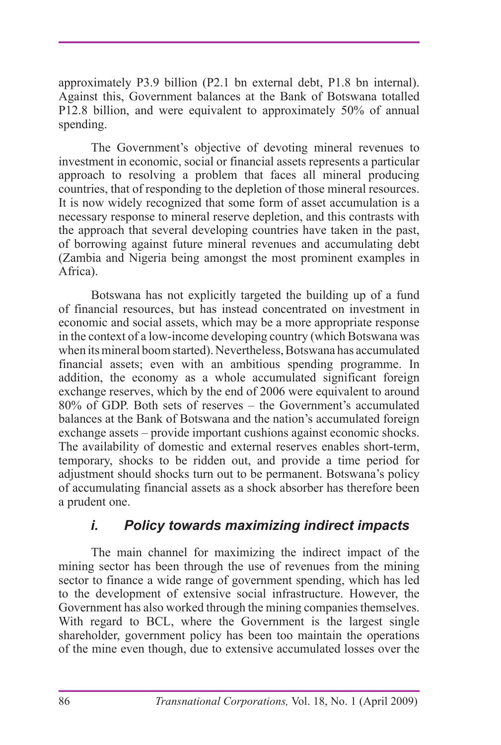approximately P3.9 billion (P2.1 bn external debt, P1.8 bn internal). Against this, Government balances at the Bank of Botswana totalled P12.8 billion, and were equivalent to approximately 50% of annual spending.

The Government's objective of devoting mineral revenues to investment in economic, social or financial assets represents a particular approach to resolving a problem that faces all mineral producing countries, that of responding to the depletion of those mineral resources. It is now widely recognized that some form of asset accumulation is a necessary response to mineral reserve depletion, and this contrasts with the approach that several developing countries have taken in the past, of borrowing against future mineral revenues and accumulating debt (Zambia and Nigeria being amongst the most prominent examples in Africa).

Botswana has not explicitly targeted the building up of a fund of financial resources, but has instead concentrated on investment in economic and social assets, which may be a more appropriate response in the context of a low-income developing country (which Botswana was when its mineral boom started). Nevertheless, Botswana has accumulated financial assets; even with an ambitious spending programme. In addition, the economy as a whole accumulated significant foreign exchange reserves, which by the end of 2006 were equivalent to around 80% of GDP. Both sets of reserves – the Government's accumulated balances at the Bank of Botswana and the nation's accumulated foreign exchange assets – provide important cushions against economic shocks. The availability of domestic and external reserves enables short-term, temporary, shocks to be ridden out, and provide a time period for adjustment should shocks turn out to be permanent. Botswana's policy of accumulating financial assets as a shock absorber has therefore been a prudent one.

#### *i. Policy towards maximizing indirect impacts*

The main channel for maximizing the indirect impact of the mining sector has been through the use of revenues from the mining sector to finance a wide range of government spending, which has led to the development of extensive social infrastructure. However, the Government has also worked through the mining companies themselves. With regard to BCL, where the Government is the largest single shareholder, government policy has been too maintain the operations of the mine even though, due to extensive accumulated losses over the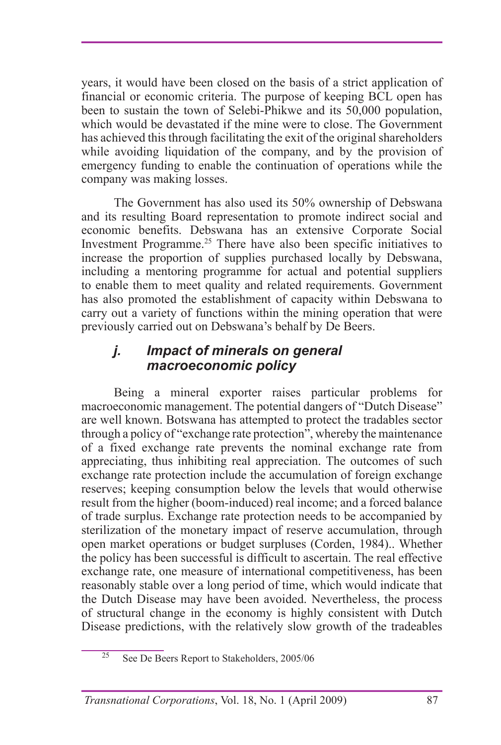years, it would have been closed on the basis of a strict application of financial or economic criteria. The purpose of keeping BCL open has been to sustain the town of Selebi-Phikwe and its 50,000 population, which would be devastated if the mine were to close. The Government has achieved this through facilitating the exit of the original shareholders while avoiding liquidation of the company, and by the provision of emergency funding to enable the continuation of operations while the company was making losses.

The Government has also used its 50% ownership of Debswana and its resulting Board representation to promote indirect social and economic benefits. Debswana has an extensive Corporate Social Investment Programme.25 There have also been specific initiatives to increase the proportion of supplies purchased locally by Debswana, including a mentoring programme for actual and potential suppliers to enable them to meet quality and related requirements. Government has also promoted the establishment of capacity within Debswana to carry out a variety of functions within the mining operation that were previously carried out on Debswana's behalf by De Beers.

#### *j. Impact of minerals on general macroeconomic policy*

Being a mineral exporter raises particular problems for macroeconomic management. The potential dangers of "Dutch Disease" are well known. Botswana has attempted to protect the tradables sector through a policy of "exchange rate protection", whereby the maintenance of a fixed exchange rate prevents the nominal exchange rate from appreciating, thus inhibiting real appreciation. The outcomes of such exchange rate protection include the accumulation of foreign exchange reserves; keeping consumption below the levels that would otherwise result from the higher (boom-induced) real income; and a forced balance of trade surplus. Exchange rate protection needs to be accompanied by sterilization of the monetary impact of reserve accumulation, through open market operations or budget surpluses (Corden, 1984).. Whether the policy has been successful is difficult to ascertain. The real effective exchange rate, one measure of international competitiveness, has been reasonably stable over a long period of time, which would indicate that the Dutch Disease may have been avoided. Nevertheless, the process of structural change in the economy is highly consistent with Dutch Disease predictions, with the relatively slow growth of the tradeables

 $25$  See De Beers Report to Stakeholders, 2005/06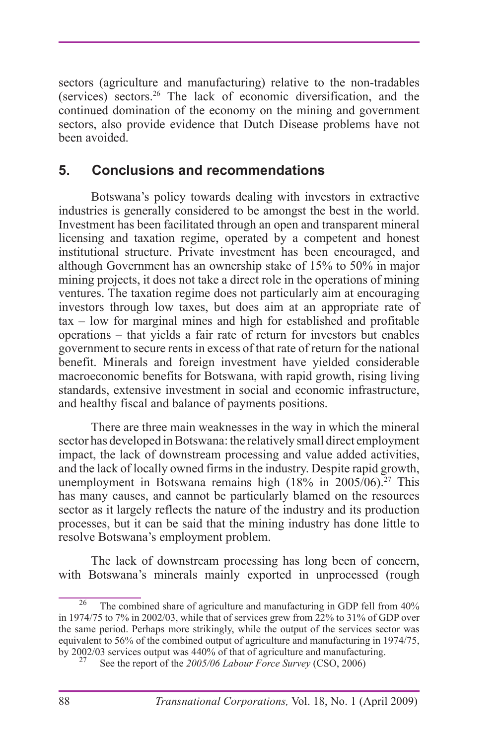sectors (agriculture and manufacturing) relative to the non-tradables (services) sectors.26 The lack of economic diversification, and the continued domination of the economy on the mining and government sectors, also provide evidence that Dutch Disease problems have not been avoided.

### **5. Conclusions and recommendations**

Botswana's policy towards dealing with investors in extractive industries is generally considered to be amongst the best in the world. Investment has been facilitated through an open and transparent mineral licensing and taxation regime, operated by a competent and honest institutional structure. Private investment has been encouraged, and although Government has an ownership stake of 15% to 50% in major mining projects, it does not take a direct role in the operations of mining ventures. The taxation regime does not particularly aim at encouraging investors through low taxes, but does aim at an appropriate rate of tax – low for marginal mines and high for established and profitable operations – that yields a fair rate of return for investors but enables government to secure rents in excess of that rate of return for the national benefit. Minerals and foreign investment have yielded considerable macroeconomic benefits for Botswana, with rapid growth, rising living standards, extensive investment in social and economic infrastructure, and healthy fiscal and balance of payments positions.

There are three main weaknesses in the way in which the mineral sector has developed in Botswana: the relatively small direct employment impact, the lack of downstream processing and value added activities, and the lack of locally owned firms in the industry. Despite rapid growth, unemployment in Botswana remains high  $(18\% \text{ in } 2005/06)^{27}$  This has many causes, and cannot be particularly blamed on the resources sector as it largely reflects the nature of the industry and its production processes, but it can be said that the mining industry has done little to resolve Botswana's employment problem.

The lack of downstream processing has long been of concern, with Botswana's minerals mainly exported in unprocessed (rough

The combined share of agriculture and manufacturing in GDP fell from  $40\%$ in 1974/75 to 7% in 2002/03, while that of services grew from 22% to 31% of GDP over the same period. Perhaps more strikingly, while the output of the services sector was equivalent to 56% of the combined output of agriculture and manufacturing in 1974/75, by 2002/03 services output was 440% of that of agriculture and manufacturing. 27 See the report of the *2005/06 Labour Force Survey* (CSO, 2006)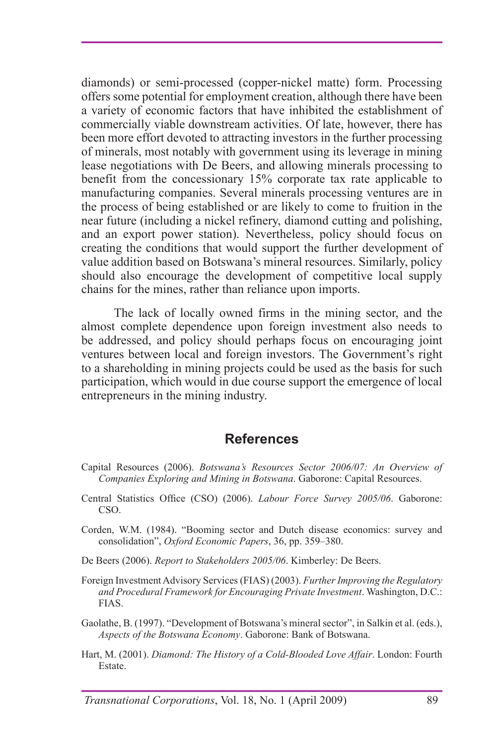diamonds) or semi-processed (copper-nickel matte) form. Processing offers some potential for employment creation, although there have been a variety of economic factors that have inhibited the establishment of commercially viable downstream activities. Of late, however, there has been more effort devoted to attracting investors in the further processing of minerals, most notably with government using its leverage in mining lease negotiations with De Beers, and allowing minerals processing to benefit from the concessionary 15% corporate tax rate applicable to manufacturing companies. Several minerals processing ventures are in the process of being established or are likely to come to fruition in the near future (including a nickel refinery, diamond cutting and polishing, and an export power station). Nevertheless, policy should focus on creating the conditions that would support the further development of value addition based on Botswana's mineral resources. Similarly, policy should also encourage the development of competitive local supply chains for the mines, rather than reliance upon imports.

The lack of locally owned firms in the mining sector, and the almost complete dependence upon foreign investment also needs to be addressed, and policy should perhaps focus on encouraging joint ventures between local and foreign investors. The Government's right to a shareholding in mining projects could be used as the basis for such participation, which would in due course support the emergence of local entrepreneurs in the mining industry.

#### **References**

- Capital Resources (2006). *Botswana's Resources Sector 2006/07: An Overview of Companies Exploring and Mining in Botswana*. Gaborone: Capital Resources.
- Central Statistics Office (CSO) (2006). *Labour Force Survey 2005/06*. Gaborone: CSO.
- Corden, W.M. (1984). "Booming sector and Dutch disease economics: survey and consolidation", *Oxford Economic Papers*, 36, pp. 359–380.
- De Beers (2006). *Report to Stakeholders 2005/06*. Kimberley: De Beers.
- Foreign Investment Advisory Services (FIAS) (2003). *Further Improving the Regulatory and Procedural Framework for Encouraging Private Investment*. Washington, D.C.: FIAS.
- Gaolathe, B. (1997). "Development of Botswana's mineral sector", in Salkin et al. (eds.), *Aspects of the Botswana Economy*. Gaborone: Bank of Botswana.
- Hart, M. (2001). *Diamond: The History of a Cold-Blooded Love Affair*. London: Fourth Estate.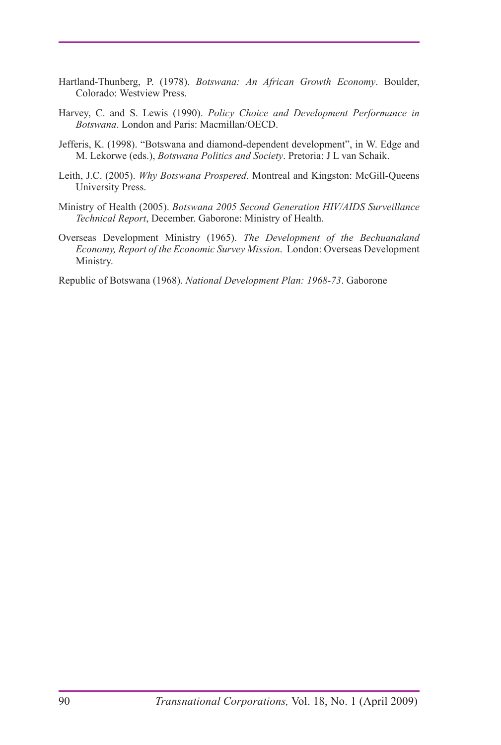- Hartland-Thunberg, P. (1978). *Botswana: An African Growth Economy*. Boulder, Colorado: Westview Press.
- Harvey, C. and S. Lewis (1990). *Policy Choice and Development Performance in Botswana*. London and Paris: Macmillan/OECD.
- Jefferis, K. (1998). "Botswana and diamond-dependent development", in W. Edge and M. Lekorwe (eds.), *Botswana Politics and Society*. Pretoria: J L van Schaik.
- Leith, J.C. (2005). *Why Botswana Prospered*. Montreal and Kingston: McGill-Queens University Press.
- Ministry of Health (2005). *Botswana 2005 Second Generation HIV/AIDS Surveillance Technical Report*, December. Gaborone: Ministry of Health.
- Overseas Development Ministry (1965). *The Development of the Bechuanaland Economy, Report of the Economic Survey Mission*. London: Overseas Development Ministry.

Republic of Botswana (1968). *National Development Plan: 1968-73*. Gaborone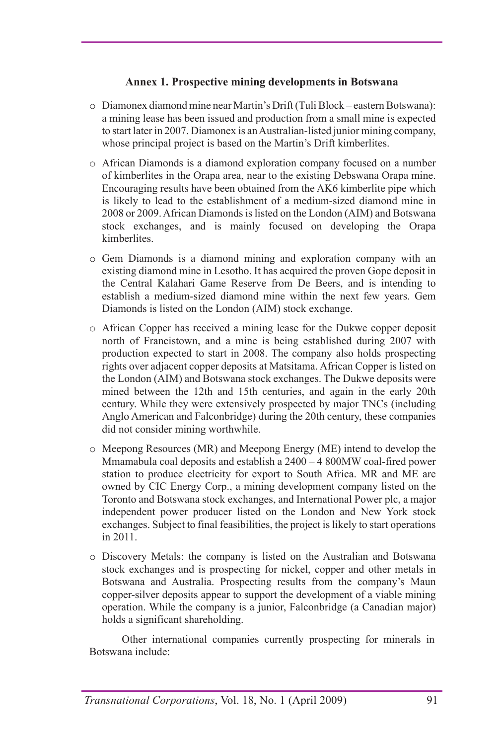#### **Annex 1. Prospective mining developments in Botswana**

- o Diamonex diamond mine near Martin's Drift (Tuli Block eastern Botswana): a mining lease has been issued and production from a small mine is expected to start later in 2007. Diamonex is an Australian-listed junior mining company, whose principal project is based on the Martin's Drift kimberlites.
- o African Diamonds is a diamond exploration company focused on a number of kimberlites in the Orapa area, near to the existing Debswana Orapa mine. Encouraging results have been obtained from the AK6 kimberlite pipe which is likely to lead to the establishment of a medium-sized diamond mine in 2008 or 2009. African Diamonds is listed on the London (AIM) and Botswana stock exchanges, and is mainly focused on developing the Orapa kimberlites.
- o Gem Diamonds is a diamond mining and exploration company with an existing diamond mine in Lesotho. It has acquired the proven Gope deposit in the Central Kalahari Game Reserve from De Beers, and is intending to establish a medium-sized diamond mine within the next few years. Gem Diamonds is listed on the London (AIM) stock exchange.
- o African Copper has received a mining lease for the Dukwe copper deposit north of Francistown, and a mine is being established during 2007 with production expected to start in 2008. The company also holds prospecting rights over adjacent copper deposits at Matsitama. African Copper is listed on the London (AIM) and Botswana stock exchanges. The Dukwe deposits were mined between the 12th and 15th centuries, and again in the early 20th century. While they were extensively prospected by major TNCs (including Anglo American and Falconbridge) during the 20th century, these companies did not consider mining worthwhile.
- o Meepong Resources (MR) and Meepong Energy (ME) intend to develop the Mmamabula coal deposits and establish a 2400 – 4 800MW coal-fired power station to produce electricity for export to South Africa. MR and ME are owned by CIC Energy Corp., a mining development company listed on the Toronto and Botswana stock exchanges, and International Power plc, a major independent power producer listed on the London and New York stock exchanges. Subject to final feasibilities, the project is likely to start operations in 2011.
- o Discovery Metals: the company is listed on the Australian and Botswana stock exchanges and is prospecting for nickel, copper and other metals in Botswana and Australia. Prospecting results from the company's Maun copper-silver deposits appear to support the development of a viable mining operation. While the company is a junior, Falconbridge (a Canadian major) holds a significant shareholding.

Other international companies currently prospecting for minerals in Botswana include: